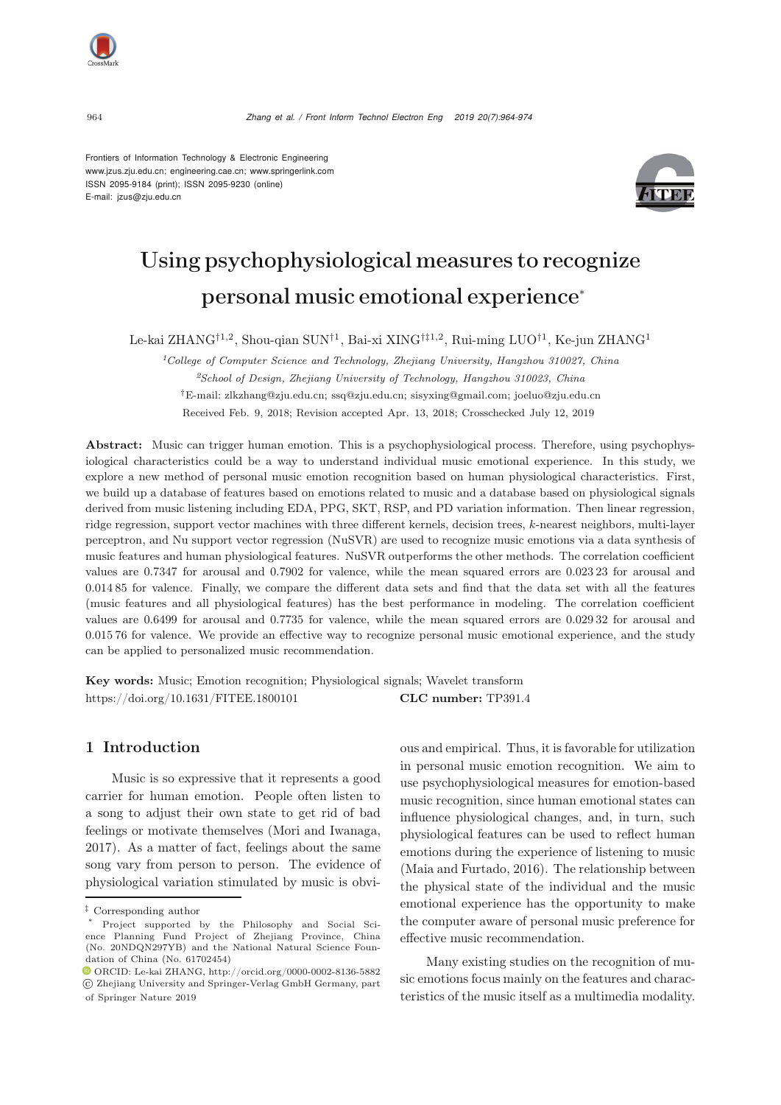Frontiers of Information Technology & Electronic Engineering [www.jzus.zju.edu.cn;](www.jzus.zju.edu.cn) [engineering.cae.cn;](engineering.cae.cn)<www.springerlink.com> ISSN 2095-9184 (print); ISSN 2095-9230 (online) E-mail: jzus@zju.edu.cn



# $\mathbf{G} \mathbf{P} \mathbf{V}$  is  $\mathbf{G} \mathbf{P} \mathbf{V}$  and  $\mathbf{G} \mathbf{P} \mathbf{V}$ personal music emotional experience<sup>∗</sup>

Le-kai ZHANG†1,2, Shou-qian SUN†<sup>1</sup>, Bai-xi XING†‡1,2, Rui-ming LUO†<sup>1</sup>, Ke-jun ZHANG<sup>1</sup>

*<sup>1</sup>College of Computer Science and Technology, Zhejiang University, Hangzhou 310027, China <sup>2</sup>School of Design, Zhejiang University of Technology, Hangzhou 310023, China †*E-mail: zlkzhang@zju.edu.cn; ssq@zju.edu.cn; sisyxing@gmail.com; joeluo@zju.edu.cn Received Feb. 9, 2018; Revision accepted Apr. 13, 2018; Crosschecked July 12, 2019

Abstract: Music can trigger human emotion. This is a psychophysiological process. Therefore, using psychophysiological characteristics could be a way to understand individual music emotional experience. In this study, we explore a new method of personal music emotion recognition based on human physiological characteristics. First, we build up a database of features based on emotions related to music and a database based on physiological signals derived from music listening including EDA, PPG, SKT, RSP, and PD variation information. Then linear regression, ridge regression, support vector machines with three different kernels, decision trees, *k*-nearest neighbors, multi-layer perceptron, and Nu support vector regression (NuSVR) are used to recognize music emotions via a data synthesis of music features and human physiological features. NuSVR outperforms the other methods. The correlation coefficient values are 0.7347 for arousal and 0.7902 for valence, while the mean squared errors are 0.023 23 for arousal and 0.014 85 for valence. Finally, we compare the different data sets and find that the data set with all the features (music features and all physiological features) has the best performance in modeling. The correlation coefficient values are 0.6499 for arousal and 0.7735 for valence, while the mean squared errors are 0.029 32 for arousal and 0.015 76 for valence. We provide an effective way to recognize personal music emotional experience, and the study can be applied to personalized music recommendation.

Key words: Music; Emotion recognition; Physiological signals; Wavelet transform https://doi.org/10.1631/FITEE.1800101 CLC number: TP391.4

## 1 Introduction

Music is so expressive that it represents a good carrier for human emotion. People often listen to a song to adjust their own state to get rid of bad feelings or motivate themselves [\(Mori and Iwanaga,](#page-10-0) [2017](#page-10-0)). As a matter of fact, feelings about the same song vary from person to person. The evidence of physiological variation stimulated by music is obvious and empirical. Thus, it is favorable for utilization in personal music emotion recognition. We aim to use psychophysiological measures for emotion-based music recognition, since human emotional states can influence physiological changes, and, in turn, such physiological features can be used to reflect human emotions during the experience of listening to music [\(Maia and Furtado](#page-9-0), [2016\)](#page-9-0). The relationship between the physical state of the individual and the music emotional experience has the opportunity to make the computer aware of personal music preference for effective music recommendation.

Many existing studies on the recognition of music emotions focus mainly on the features and characteristics of the music itself as a multimedia modality.

*<sup>‡</sup>* Corresponding author

Project supported by the Philosophy and Social Science Planning Fund Project of Zhejiang Province, China (No. 20NDQN297YB) and the National Natural Science Foundation of China (No. 61702454)

ORCID: Le-kai ZHANG, http://orcid.org/0000-0002-8136-5882 c Zhejiang University and Springer-Verlag GmbH Germany, part of Springer Nature 2019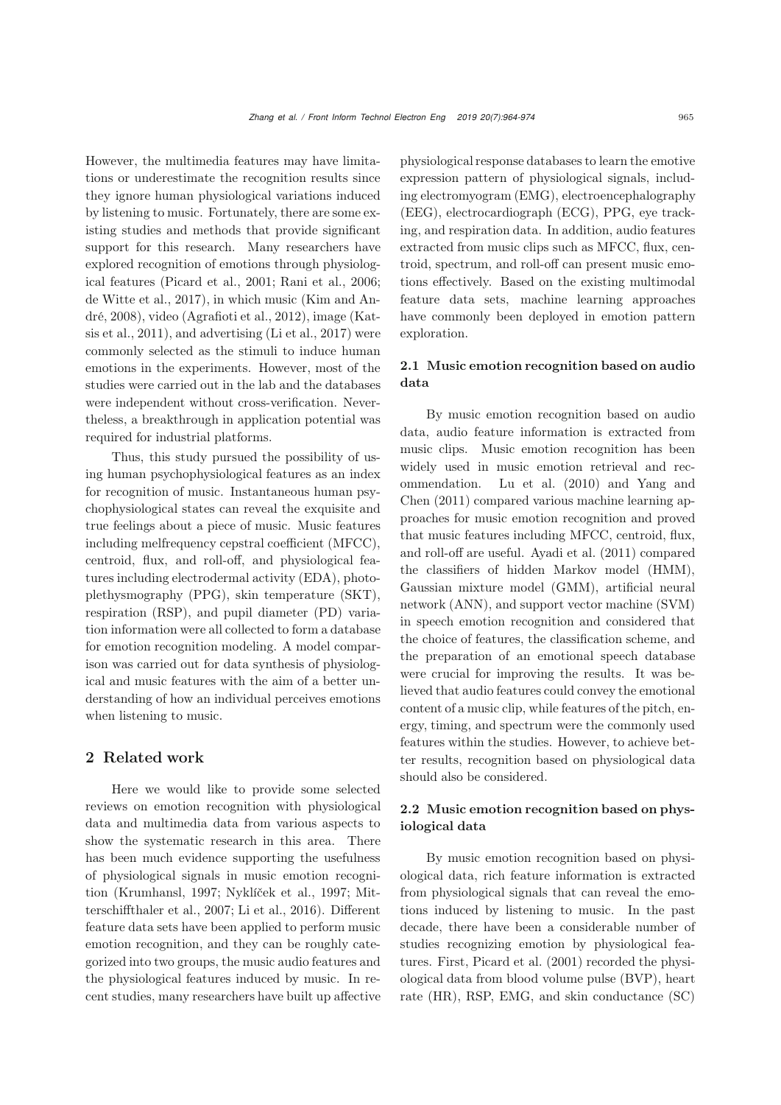However, the multimedia features may have limitations or underestimate the recognition results since they ignore human physiological variations induced by listening to music. Fortunately, there are some existing studies and methods that provide significant support for this research. Many researchers have explored recognition of emotions through physiological features [\(Picard et al., 2001](#page-10-1); [Rani et al., 2006;](#page-10-2) [de Witte et al.](#page-9-1)[,](#page-9-2) [2017](#page-9-1)[\),](#page-9-2) [in](#page-9-2) [which](#page-9-2) [music](#page-9-2) [\(](#page-9-2)Kim and André, [2008](#page-9-2)[\),](#page-9-4) [video](#page-9-4) [\(Agrafioti et al.](#page-9-3)[,](#page-9-4) [2012](#page-9-3)[\),](#page-9-4) [image](#page-9-4) [\(](#page-9-4)Katsis et al., [2011\)](#page-9-4), and advertising [\(Li et al.](#page-9-5), [2017](#page-9-5)) were commonly selected as the stimuli to induce human emotions in the experiments. However, most of the studies were carried out in the lab and the databases were independent without cross-verification. Nevertheless, a breakthrough in application potential was required for industrial platforms.

Thus, this study pursued the possibility of using human psychophysiological features as an index for recognition of music. Instantaneous human psychophysiological states can reveal the exquisite and true feelings about a piece of music. Music features including melfrequency cepstral coefficient (MFCC), centroid, flux, and roll-off, and physiological features including electrodermal activity (EDA), photoplethysmography (PPG), skin temperature (SKT), respiration (RSP), and pupil diameter (PD) variation information were all collected to form a database for emotion recognition modeling. A model comparison was carried out for data synthesis of physiological and music features with the aim of a better understanding of how an individual perceives emotions when listening to music.

# 2 Related work

Here we would like to provide some selected reviews on emotion recognition with physiological data and multimedia data from various aspects to show the systematic research in this area. There has been much evidence supporting the usefulness of physiological signals in music emotion recognition [\(Krumhansl, 1997;](#page-9-6) [Nyklíček et al.](#page-10-3)[,](#page-9-7) [1997](#page-10-3)[;](#page-9-7) Mitterschiffthaler et al., [2007;](#page-9-7) [Li et al., 2016](#page-9-8)). Different feature data sets have been applied to perform music emotion recognition, and they can be roughly categorized into two groups, the music audio features and the physiological features induced by music. In recent studies, many researchers have built up affective physiological response databases to learn the emotive expression pattern of physiological signals, including electromyogram (EMG), electroencephalography (EEG), electrocardiograph (ECG), PPG, eye tracking, and respiration data. In addition, audio features extracted from music clips such as MFCC, flux, centroid, spectrum, and roll-off can present music emotions effectively. Based on the existing multimodal feature data sets, machine learning approaches have commonly been deployed in emotion pattern exploration.

# 2.1 Music emotion recognition based on audio data

By music emotion recognition based on audio data, audio feature information is extracted from music clips. Music emotion recognition has been widely used in music emotion retrieval and recomm[endation.](#page-10-4) [Lu et al.](#page-9-9) [\(2010](#page-9-9)[\)](#page-10-4) [and](#page-10-4) Yang and Chen [\(2011\)](#page-10-4) compared various machine learning approaches for music emotion recognition and proved that music features including MFCC, centroid, flux, and roll-off are useful. [Ayadi et al.](#page-9-10) [\(2011](#page-9-10)) compared the classifiers of hidden Markov model (HMM), Gaussian mixture model (GMM), artificial neural network (ANN), and support vector machine (SVM) in speech emotion recognition and considered that the choice of features, the classification scheme, and the preparation of an emotional speech database were crucial for improving the results. It was believed that audio features could convey the emotional content of a music clip, while features of the pitch, energy, timing, and spectrum were the commonly used features within the studies. However, to achieve better results, recognition based on physiological data should also be considered.

# 2.2 Music emotion recognition based on physiological data

By music emotion recognition based on physiological data, rich feature information is extracted from physiological signals that can reveal the emotions induced by listening to music. In the past decade, there have been a considerable number of studies recognizing emotion by physiological features. First, [Picard et al.](#page-10-1) [\(2001\)](#page-10-1) recorded the physiological data from blood volume pulse (BVP), heart rate (HR), RSP, EMG, and skin conductance (SC)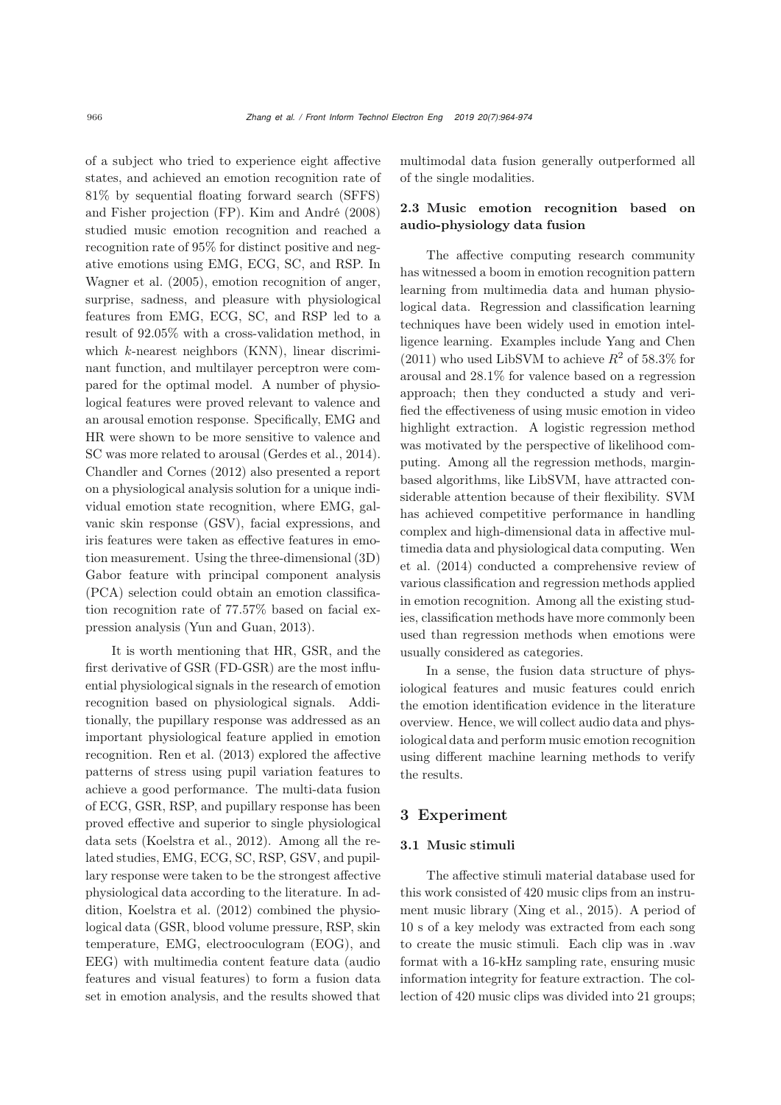of a subject who tried to experience eight affective states, and achieved an emotion recognition rate of 81% by sequential floating forward search (SFFS) and Fisher projection (FP). [Kim and André](#page-9-2) [\(2008](#page-9-2)) studied music emotion recognition and reached a recognition rate of 95% for distinct positive and negative emotions using EMG, ECG, SC, and RSP. In [Wagner et al.](#page-10-5) [\(2005\)](#page-10-5), emotion recognition of anger, surprise, sadness, and pleasure with physiological features from EMG, ECG, SC, and RSP led to a result of 92.05% with a cross-validation method, in which  $k$ -nearest neighbors (KNN), linear discriminant function, and multilayer perceptron were compared for the optimal model. A number of physiological features were proved relevant to valence and an arousal emotion response. Specifically, EMG and HR were shown to be more sensitive to valence and SC was more related to arousal [\(Gerdes et al.](#page-9-11), [2014\)](#page-9-11). [Chandler and Cornes](#page-9-12) [\(2012](#page-9-12)) also presented a report on a physiological analysis solution for a unique individual emotion state recognition, where EMG, galvanic skin response (GSV), facial expressions, and iris features were taken as effective features in emotion measurement. Using the three-dimensional (3D) Gabor feature with principal component analysis (PCA) selection could obtain an emotion classification recognition rate of 77.57% based on facial expression analysis [\(Yun and Guan, 2013\)](#page-10-6).

It is worth mentioning that HR, GSR, and the first derivative of GSR (FD-GSR) are the most influential physiological signals in the research of emotion recognition based on physiological signals. Additionally, the pupillary response was addressed as an important physiological feature applied in emotion recognition. [Ren et al.](#page-10-7) [\(2013\)](#page-10-7) explored the affective patterns of stress using pupil variation features to achieve a good performance. The multi-data fusion of ECG, GSR, RSP, and pupillary response has been proved effective and superior to single physiological data sets [\(Koelstra et al.](#page-9-13), [2012](#page-9-13)). Among all the related studies, EMG, ECG, SC, RSP, GSV, and pupillary response were taken to be the strongest affective physiological data according to the literature. In addition, [Koelstra et al.](#page-9-13) [\(2012\)](#page-9-13) combined the physiological data (GSR, blood volume pressure, RSP, skin temperature, EMG, electrooculogram (EOG), and EEG) with multimedia content feature data (audio features and visual features) to form a fusion data set in emotion analysis, and the results showed that

multimodal data fusion generally outperformed all of the single modalities.

# 2.3 Music emotion recognition based on audio-physiology data fusion

The affective computing research community has witnessed a boom in emotion recognition pattern learning from multimedia data and human physiological data. Regression and classification learning techniques have been widely used in emotion intelligence learning. Examples include [Yang and Chen](#page-10-4) [\(2011](#page-10-4)) who used LibSVM to achieve  $R^2$  of 58.3% for arousal and 28.1% for valence based on a regression approach; then they conducted a study and verified the effectiveness of using music emotion in video highlight extraction. A logistic regression method was motivated by the perspective of likelihood computing. Among all the regression methods, marginbased algorithms, like LibSVM, have attracted considerable attention because of their flexibility. SVM has achieved competitive performance in handling complex and high-dimensional data in affective multime[dia](#page-10-8) [data](#page-10-8) [and](#page-10-8) [physiological](#page-10-8) [data](#page-10-8) [computing.](#page-10-8) Wen et al. [\(2014\)](#page-10-8) conducted a comprehensive review of various classification and regression methods applied in emotion recognition. Among all the existing studies, classification methods have more commonly been used than regression methods when emotions were usually considered as categories.

In a sense, the fusion data structure of physiological features and music features could enrich the emotion identification evidence in the literature overview. Hence, we will collect audio data and physiological data and perform music emotion recognition using different machine learning methods to verify the results.

# 3 Experiment

#### 3.1 Music stimuli

The affective stimuli material database used for this work consisted of 420 music clips from an instrument music library [\(Xing et al., 2015](#page-10-9)). A period of 10 s of a key melody was extracted from each song to create the music stimuli. Each clip was in .wav format with a 16-kHz sampling rate, ensuring music information integrity for feature extraction. The collection of 420 music clips was divided into 21 groups;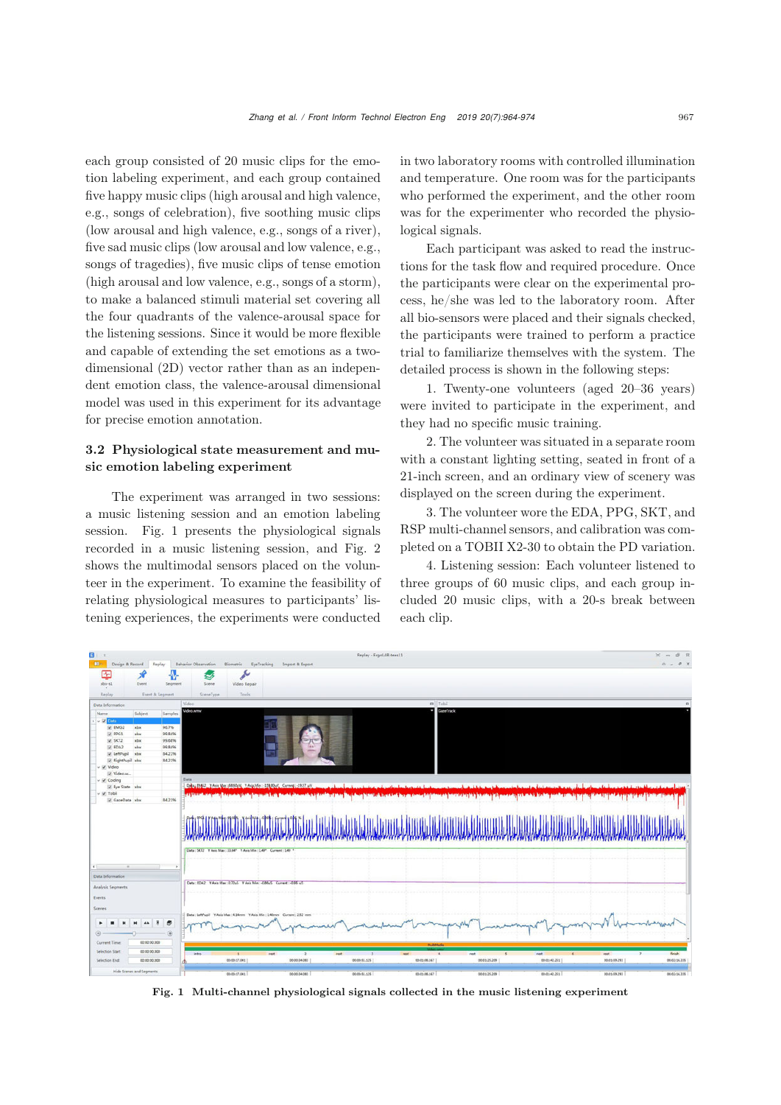each group consisted of 20 music clips for the emotion labeling experiment, and each group contained five happy music clips (high arousal and high valence, e.g., songs of celebration), five soothing music clips (low arousal and high valence, e.g., songs of a river), five sad music clips (low arousal and low valence, e.g., songs of tragedies), five music clips of tense emotion (high arousal and low valence, e.g., songs of a storm), to make a balanced stimuli material set covering all the four quadrants of the valence-arousal space for the listening sessions. Since it would be more flexible and capable of extending the set emotions as a twodimensional (2D) vector rather than as an independent emotion class, the valence-arousal dimensional model was used in this experiment for its advantage for precise emotion annotation.

# 3.2 Physiological state measurement and music emotion labeling experiment

The experiment was arranged in two sessions: a music listening session and an emotion labeling session. Fig. [1](#page-3-0) presents the physiological signals recorded in a music listening session, and Fig. [2](#page-4-0) shows the multimodal sensors placed on the volunteer in the experiment. To examine the feasibility of relating physiological measures to participants' listening experiences, the experiments were conducted

in two laboratory rooms with controlled illumination and temperature. One room was for the participants who performed the experiment, and the other room was for the experimenter who recorded the physiological signals.

Each participant was asked to read the instructions for the task flow and required procedure. Once the participants were clear on the experimental process, he/she was led to the laboratory room. After all bio-sensors were placed and their signals checked, the participants were trained to perform a practice trial to familiarize themselves with the system. The detailed process is shown in the following steps:

1. Twenty-one volunteers (aged 20–36 years) were invited to participate in the experiment, and they had no specific music training.

2. The volunteer was situated in a separate room with a constant lighting setting, seated in front of a 21-inch screen, and an ordinary view of scenery was displayed on the screen during the experiment.

3. The volunteer wore the EDA, PPG, SKT, and RSP multi-channel sensors, and calibration was completed on a TOBII X2-30 to obtain the PD variation.

<span id="page-3-0"></span>4. Listening session: Each volunteer listened to three groups of 60 music clips, and each group included 20 music clips, with a 20-s break between each clip.



Fig. 1 Multi-channel physiological signals collected in the music listening experiment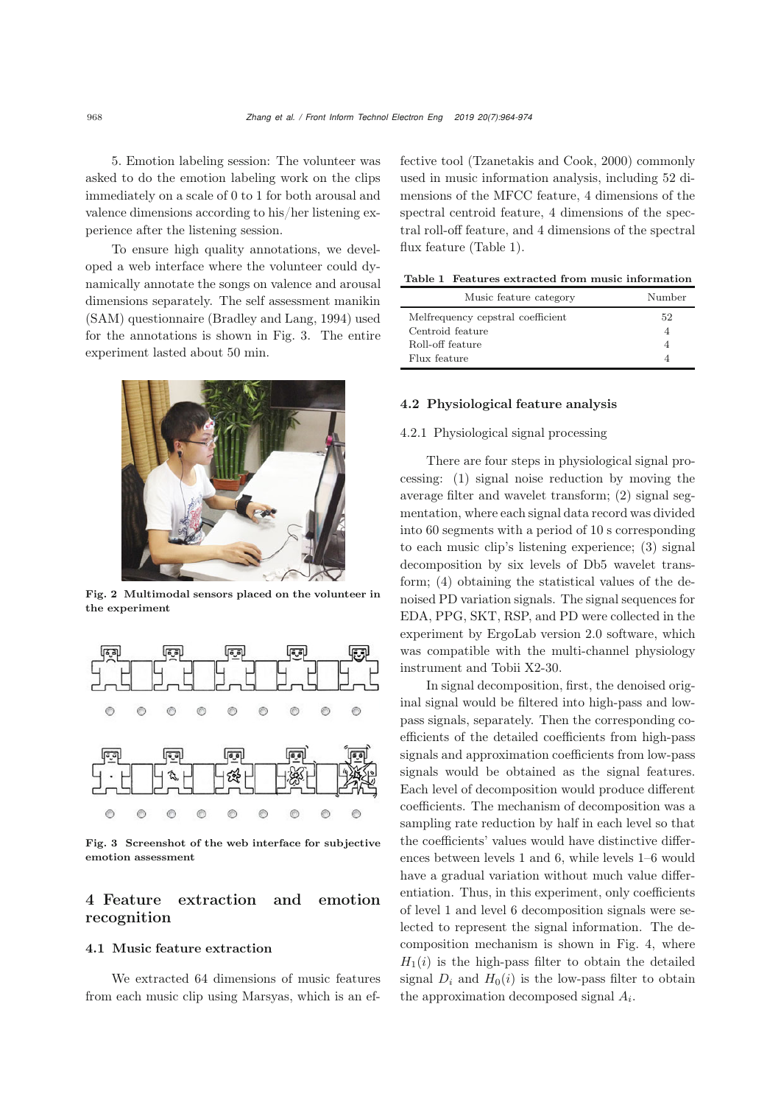5. Emotion labeling session: The volunteer was asked to do the emotion labeling work on the clips immediately on a scale of 0 to 1 for both arousal and valence dimensions according to his/her listening experience after the listening session.

To ensure high quality annotations, we developed a web interface where the volunteer could dynamically annotate the songs on valence and arousal dimensions separately. The self assessment manikin (SAM) questionnaire [\(Bradley and Lang](#page-9-14), [1994](#page-9-14)) used for the annotations is shown in Fig. [3.](#page-4-1) The entire experiment lasted about 50 min.



Fig. 2 Multimodal sensors placed on the volunteer in the experiment



Fig. 3 Screenshot of the web interface for subjective emotion assessment

# 4 Feature extraction and emotion recognition

#### 4.1 Music feature extraction

We extracted 64 dimensions of music features from each music clip using Marsyas, which is an effective tool [\(Tzanetakis and Cook](#page-10-10), [2000\)](#page-10-10) commonly used in music information analysis, including 52 dimensions of the MFCC feature, 4 dimensions of the spectral centroid feature, 4 dimensions of the spectral roll-off feature, and 4 dimensions of the spectral flux feature (Table 1).

Table 1 Features extracted from music information

| Music feature category            | Number |
|-----------------------------------|--------|
| Melfrequency cepstral coefficient | 52     |
| Centroid feature                  | 4      |
| Roll-off feature                  |        |
| Flux feature                      |        |

#### 4.2 Physiological feature analysis

#### 4.2.1 Physiological signal processing

There are four steps in physiological signal processing: (1) signal noise reduction by moving the average filter and wavelet transform; (2) signal segmentation, where each signal data record was divided into 60 segments with a period of 10 s corresponding to each music clip's listening experience; (3) signal decomposition by six levels of Db5 wavelet transform; (4) obtaining the statistical values of the denoised PD variation signals. The signal sequences for EDA, PPG, SKT, RSP, and PD were collected in the experiment by ErgoLab version 2.0 software, which was compatible with the multi-channel physiology instrument and Tobii X2-30.

<span id="page-4-1"></span><span id="page-4-0"></span>In signal decomposition, first, the denoised original signal would be filtered into high-pass and lowpass signals, separately. Then the corresponding coefficients of the detailed coefficients from high-pass signals and approximation coefficients from low-pass signals would be obtained as the signal features. Each level of decomposition would produce different coefficients. The mechanism of decomposition was a sampling rate reduction by half in each level so that the coefficients' values would have distinctive differences between levels 1 and 6, while levels 1–6 would have a gradual variation without much value differentiation. Thus, in this experiment, only coefficients of level 1 and level 6 decomposition signals were selected to represent the signal information. The decomposition mechanism is shown in Fig. [4,](#page-5-0) where  $H_1(i)$  is the high-pass filter to obtain the detailed signal  $D_i$  and  $H_0(i)$  is the low-pass filter to obtain the approximation decomposed signal  $A_i$ .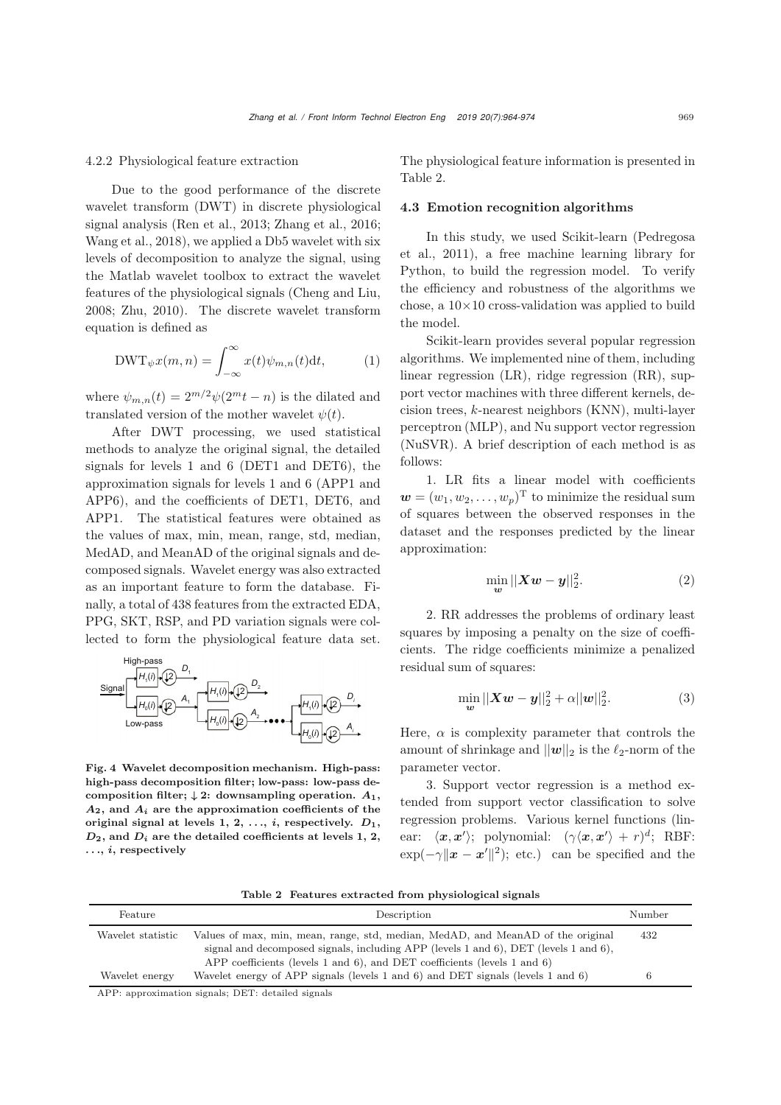#### 4.2.2 Physiological feature extraction

Due to the good performance of the discrete wavelet transform (DWT) in discrete physiological signal analysis [\(Ren et al.](#page-10-7), [2013](#page-10-7); [Zhang et al.](#page-10-11), [2016;](#page-10-11) [Wang et al.](#page-10-12), [2018\)](#page-10-12), we applied a Db5 wavelet with six levels of decomposition to analyze the signal, using the Matlab wavelet toolbox to extract the wavelet features of the physiological signals [\(Cheng and Liu](#page-9-15), [2008](#page-9-15); [Zhu](#page-10-13), [2010\)](#page-10-13). The discrete wavelet transform equation is defined as

$$
DWT_{\psi}x(m,n) = \int_{-\infty}^{\infty} x(t)\psi_{m,n}(t)dt,
$$
 (1)

where  $\psi_{m,n}(t)=2^{m/2}\psi(2^mt-n)$  is the dilated and translated version of the mother wavelet  $\psi(t)$ .

After DWT processing, we used statistical methods to analyze the original signal, the detailed signals for levels 1 and 6 (DET1 and DET6), the approximation signals for levels 1 and 6 (APP1 and APP6), and the coefficients of DET1, DET6, and APP1. The statistical features were obtained as the values of max, min, mean, range, std, median, MedAD, and MeanAD of the original signals and decomposed signals. Wavelet energy was also extracted as an important feature to form the database. Finally, a total of 438 features from the extracted EDA, PPG, SKT, RSP, and PD variation signals were collected to form the physiological feature data set.



Fig. 4 Wavelet decomposition mechanism. High-pass: high-pass decomposition filter; low-pass: low-pass decomposition filter;  $\downarrow$  2: downsampling operation.  $A_1$ , *A***2**, and *A<sup>i</sup>* are the approximation coefficients of the original signal at levels 1, 2, *...*, *i*, respectively. *D***1**,  $D_2$ , and  $D_i$  are the detailed coefficients at levels 1, 2, *...*, *i*, respectively

The physiological feature information is presented in Table 2.

#### 4.3 Emotion recognition algorithms

I[n](#page-10-14) [this](#page-10-14) [study,](#page-10-14) [we](#page-10-14) [used](#page-10-14) [Scikit-learn](#page-10-14) [\(](#page-10-14)Pedregosa et al., [2011\)](#page-10-14), a free machine learning library for Python, to build the regression model. To verify the efficiency and robustness of the algorithms we chose, a  $10\times10$  cross-validation was applied to build the model.

Scikit-learn provides several popular regression algorithms. We implemented nine of them, including linear regression (LR), ridge regression (RR), support vector machines with three different kernels, decision trees, k-nearest neighbors (KNN), multi-layer perceptron (MLP), and Nu support vector regression (NuSVR). A brief description of each method is as follows:

1. LR fits a linear model with coefficients  $\mathbf{w} = (w_1, w_2, \dots, w_n)^{\mathrm{T}}$  to minimize the residual sum of squares between the observed responses in the dataset and the responses predicted by the linear approximation:

$$
\min_{\boldsymbol{w}} ||\boldsymbol{X}\boldsymbol{w} - \boldsymbol{y}||_2^2. \tag{2}
$$

2. RR addresses the problems of ordinary least squares by imposing a penalty on the size of coefficients. The ridge coefficients minimize a penalized residual sum of squares:

$$
\min_{\bm{w}} ||\bm{X}\bm{w} - \bm{y}||_2^2 + \alpha ||\bm{w}||_2^2. \tag{3}
$$

<span id="page-5-0"></span>Here,  $\alpha$  is complexity parameter that controls the amount of shrinkage and  $||w||_2$  is the  $\ell_2$ -norm of the parameter vector.

3. Support vector regression is a method extended from support vector classification to solve regression problems. Various kernel functions (linear:  $\langle x, x' \rangle$ ; polynomial:  $(\gamma \langle x, x' \rangle + r)^d$ ; RBF:  $\exp(-\gamma ||\mathbf{x} - \mathbf{x}'||^2)$ ; etc.) can be specified and the

Table 2 Features extracted from physiological signals

| Feature           | Description                                                                                                                                                                                                                                         | Number |
|-------------------|-----------------------------------------------------------------------------------------------------------------------------------------------------------------------------------------------------------------------------------------------------|--------|
| Wavelet statistic | Values of max, min, mean, range, std, median, MedAD, and MeanAD of the original<br>signal and decomposed signals, including APP (levels 1 and 6), DET (levels 1 and 6),<br>APP coefficients (levels 1 and 6), and DET coefficients (levels 1 and 6) | 432    |
| Wavelet energy    | Wavelet energy of APP signals (levels 1 and 6) and DET signals (levels 1 and 6)                                                                                                                                                                     |        |
| $\sqrt{2}$        | $\mathbf{r}$ $\mathbf{r}$                                                                                                                                                                                                                           |        |

APP: approximation signals; DET: detailed signals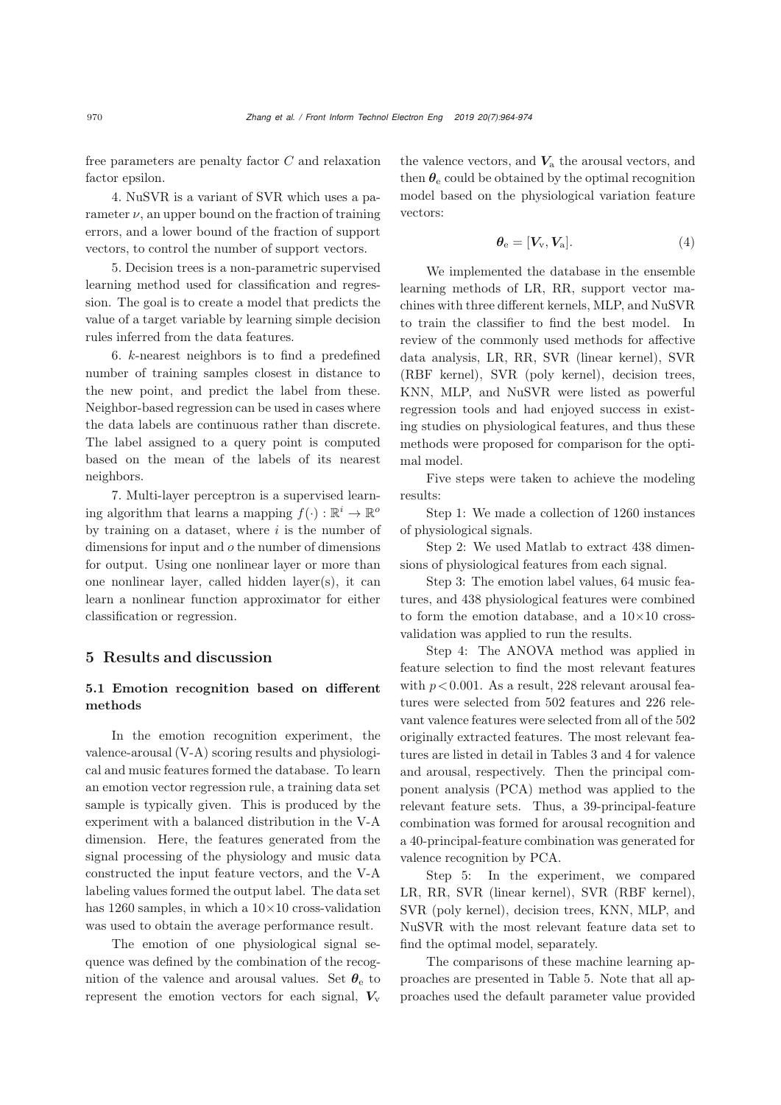free parameters are penalty factor C and relaxation factor epsilon.

4. NuSVR is a variant of SVR which uses a parameter  $\nu$ , an upper bound on the fraction of training errors, and a lower bound of the fraction of support vectors, to control the number of support vectors.

5. Decision trees is a non-parametric supervised learning method used for classification and regression. The goal is to create a model that predicts the value of a target variable by learning simple decision rules inferred from the data features.

6. k-nearest neighbors is to find a predefined number of training samples closest in distance to the new point, and predict the label from these. Neighbor-based regression can be used in cases where the data labels are continuous rather than discrete. The label assigned to a query point is computed based on the mean of the labels of its nearest neighbors.

7. Multi-layer perceptron is a supervised learning algorithm that learns a mapping  $f(\cdot): \mathbb{R}^i \to \mathbb{R}^o$ by training on a dataset, where  $i$  is the number of dimensions for input and  $o$  the number of dimensions for output. Using one nonlinear layer or more than one nonlinear layer, called hidden layer(s), it can learn a nonlinear function approximator for either classification or regression.

# 5 Results and discussion

# 5.1 Emotion recognition based on different methods

In the emotion recognition experiment, the valence-arousal (V-A) scoring results and physiological and music features formed the database. To learn an emotion vector regression rule, a training data set sample is typically given. This is produced by the experiment with a balanced distribution in the V-A dimension. Here, the features generated from the signal processing of the physiology and music data constructed the input feature vectors, and the V-A labeling values formed the output label. The data set has 1260 samples, in which a  $10\times10$  cross-validation was used to obtain the average performance result.

The emotion of one physiological signal sequence was defined by the combination of the recognition of the valence and arousal values. Set  $\theta_e$  to represent the emotion vectors for each signal,  $V_{\rm v}$  the valence vectors, and  $V_a$  the arousal vectors, and then  $\theta_e$  could be obtained by the optimal recognition model based on the physiological variation feature vectors:

$$
\boldsymbol{\theta}_{\mathbf{e}} = [\mathbf{V}_{\mathbf{v}}, \mathbf{V}_{\mathbf{a}}]. \tag{4}
$$

We implemented the database in the ensemble learning methods of LR, RR, support vector machines with three different kernels, MLP, and NuSVR to train the classifier to find the best model. In review of the commonly used methods for affective data analysis, LR, RR, SVR (linear kernel), SVR (RBF kernel), SVR (poly kernel), decision trees, KNN, MLP, and NuSVR were listed as powerful regression tools and had enjoyed success in existing studies on physiological features, and thus these methods were proposed for comparison for the optimal model.

Five steps were taken to achieve the modeling results:

Step 1: We made a collection of 1260 instances of physiological signals.

Step 2: We used Matlab to extract 438 dimensions of physiological features from each signal.

Step 3: The emotion label values, 64 music features, and 438 physiological features were combined to form the emotion database, and a  $10\times10$  crossvalidation was applied to run the results.

Step 4: The ANOVA method was applied in feature selection to find the most relevant features with  $p < 0.001$ . As a result, 228 relevant arousal features were selected from 502 features and 226 relevant valence features were selected from all of the 502 originally extracted features. The most relevant features are listed in detail in Tables 3 and 4 for valence and arousal, respectively. Then the principal component analysis (PCA) method was applied to the relevant feature sets. Thus, a 39-principal-feature combination was formed for arousal recognition and a 40-principal-feature combination was generated for valence recognition by PCA.

Step 5: In the experiment, we compared LR, RR, SVR (linear kernel), SVR (RBF kernel), SVR (poly kernel), decision trees, KNN, MLP, and NuSVR with the most relevant feature data set to find the optimal model, separately.

The comparisons of these machine learning approaches are presented in Table 5. Note that all approaches used the default parameter value provided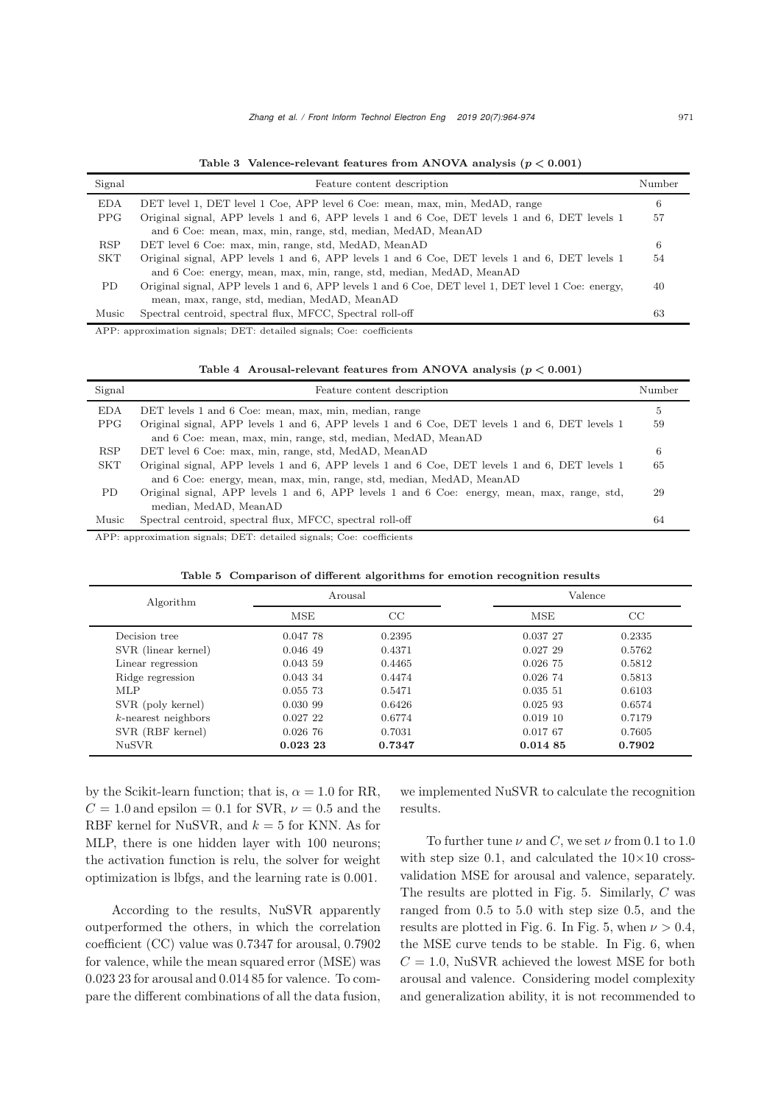|  | Table 3 Valence-relevant features from ANOVA analysis $(p < 0.001)$ |  |  |  |  |  |  |  |  |
|--|---------------------------------------------------------------------|--|--|--|--|--|--|--|--|
|--|---------------------------------------------------------------------|--|--|--|--|--|--|--|--|

| Signal     | Feature content description                                                                        | Number |
|------------|----------------------------------------------------------------------------------------------------|--------|
| <b>EDA</b> | DET level 1, DET level 1 Coe, APP level 6 Coe: mean, max, min, MedAD, range                        | 6      |
| <b>PPG</b> | Original signal, APP levels 1 and 6, APP levels 1 and 6 Coe, DET levels 1 and 6, DET levels 1      | 57     |
|            | and 6 Coe: mean, max, min, range, std, median, MedAD, MeanAD                                       |        |
| RSP        | DET level 6 Coe: max, min, range, std, MedAD, MeanAD                                               | 6      |
| <b>SKT</b> | Original signal, APP levels 1 and 6, APP levels 1 and 6 Coe, DET levels 1 and 6, DET levels 1      | 54     |
|            | and 6 Coe: energy, mean, max, min, range, std, median, MedAD, MeanAD                               |        |
| <b>PD</b>  | Original signal, APP levels 1 and 6, APP levels 1 and 6 Coe, DET level 1, DET level 1 Coe: energy, | 40     |
|            | mean, max, range, std, median, MedAD, MeanAD                                                       |        |
| Music      | Spectral centroid, spectral flux, MFCC, Spectral roll-off                                          | 63     |

APP: approximation signals; DET: detailed signals; Coe: coefficients

Table 4 Arousal-relevant features from ANOVA analysis  $(p < 0.001)$ 

| Signal     | Feature content description                                                                   | Number |
|------------|-----------------------------------------------------------------------------------------------|--------|
| <b>EDA</b> | DET levels 1 and 6 Coe: mean, max, min, median, range                                         | 5.     |
| <b>PPG</b> | Original signal, APP levels 1 and 6, APP levels 1 and 6 Coe, DET levels 1 and 6, DET levels 1 | 59     |
|            | and 6 Coe: mean, max, min, range, std, median, MedAD, MeanAD                                  |        |
| <b>RSP</b> | DET level 6 Coe: max, min, range, std, MedAD, MeanAD                                          | 6      |
| SKT        | Original signal, APP levels 1 and 6, APP levels 1 and 6 Coe, DET levels 1 and 6, DET levels 1 | 65     |
|            | and 6 Coe: energy, mean, max, min, range, std, median, MedAD, MeanAD                          |        |
| <b>PD</b>  | Original signal, APP levels 1 and 6, APP levels 1 and 6 Coe: energy, mean, max, range, std.   | 29     |
|            | median, MedAD, MeanAD                                                                         |        |
| Music      | Spectral centroid, spectral flux, MFCC, spectral roll-off                                     | 64     |

APP: approximation signals; DET: detailed signals; Coe: coefficients

Table 5 Comparison of different algorithms for emotion recognition results

| Algorithm              | Arousal    |        | Valence    |             |  |
|------------------------|------------|--------|------------|-------------|--|
|                        | <b>MSE</b> | CC     | <b>MSE</b> | $_{\rm CC}$ |  |
| Decision tree          | 0.047 78   | 0.2395 | 0.037 27   | 0.2335      |  |
| SVR (linear kernel)    | 0.046 49   | 0.4371 | 0.02729    | 0.5762      |  |
| Linear regression      | 0.04359    | 0.4465 | 0.026 75   | 0.5812      |  |
| Ridge regression       | 0.043 34   | 0.4474 | 0.026 74   | 0.5813      |  |
| MLP                    | 0.05573    | 0.5471 | 0.03551    | 0.6103      |  |
| SVR (poly kernel)      | 0.030 99   | 0.6426 | 0.02593    | 0.6574      |  |
| $k$ -nearest neighbors | 0.02722    | 0.6774 | 0.01910    | 0.7179      |  |
| SVR (RBF kernel)       | 0.02676    | 0.7031 | 0.017 67   | 0.7605      |  |
| NuSVR.                 | 0.02323    | 0.7347 | 0.014 85   | 0.7902      |  |

by the Scikit-learn function; that is,  $\alpha = 1.0$  for RR,  $C = 1.0$  and epsilon = 0.1 for SVR,  $\nu = 0.5$  and the RBF kernel for NuSVR, and  $k = 5$  for KNN. As for MLP, there is one hidden layer with 100 neurons; the activation function is relu, the solver for weight optimization is lbfgs, and the learning rate is 0.001.

According to the results, NuSVR apparently outperformed the others, in which the correlation coefficient (CC) value was 0.7347 for arousal, 0.7902 for valence, while the mean squared error (MSE) was 0.023 23 for arousal and 0.014 85 for valence. To compare the different combinations of all the data fusion,

we implemented NuSVR to calculate the recognition results.

To further tune  $\nu$  and C, we set  $\nu$  from 0.1 to 1.0 with step size 0.1, and calculated the  $10\times10$  crossvalidation MSE for arousal and valence, separately. The results are plotted in Fig. [5.](#page-8-0) Similarly,  $C$  was ranged from 0.5 to 5.0 with step size 0.5, and the results are plotted in Fig. [6.](#page-8-1) In Fig. [5,](#page-8-0) when  $\nu > 0.4$ , the MSE curve tends to be stable. In Fig. [6,](#page-8-1) when  $C = 1.0$ , NuSVR achieved the lowest MSE for both arousal and valence. Considering model complexity and generalization ability, it is not recommended to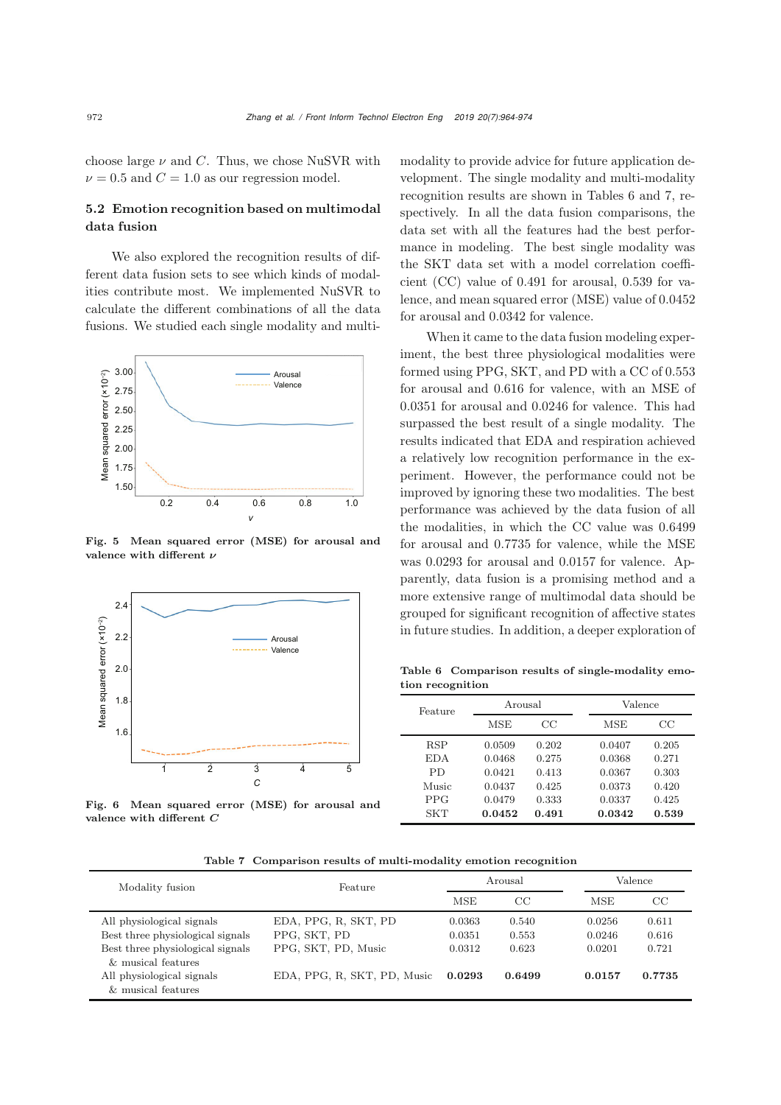choose large  $\nu$  and C. Thus, we chose NuSVR with  $\nu = 0.5$  and  $C = 1.0$  as our regression model.

# 5.2 Emotion recognition based on multimodal data fusion

We also explored the recognition results of different data fusion sets to see which kinds of modalities contribute most. We implemented NuSVR to calculate the different combinations of all the data fusions. We studied each single modality and multi-



Fig. 5 Mean squared error (MSE) for arousal and valence with different *ν*



Fig. 6 Mean squared error (MSE) for arousal and valence with different *C*

modality to provide advice for future application development. The single modality and multi-modality recognition results are shown in Tables 6 and 7, respectively. In all the data fusion comparisons, the data set with all the features had the best performance in modeling. The best single modality was the SKT data set with a model correlation coefficient (CC) value of 0.491 for arousal, 0.539 for valence, and mean squared error (MSE) value of 0.0452 for arousal and 0.0342 for valence.

When it came to the data fusion modeling experiment, the best three physiological modalities were formed using PPG, SKT, and PD with a CC of 0.553 for arousal and 0.616 for valence, with an MSE of 0.0351 for arousal and 0.0246 for valence. This had surpassed the best result of a single modality. The results indicated that EDA and respiration achieved a relatively low recognition performance in the experiment. However, the performance could not be improved by ignoring these two modalities. The best performance was achieved by the data fusion of all the modalities, in which the CC value was 0.6499 for arousal and 0.7735 for valence, while the MSE was 0.0293 for arousal and 0.0157 for valence. Apparently, data fusion is a promising method and a more extensive range of multimodal data should be grouped for significant recognition of affective states in future studies. In addition, a deeper exploration of

<span id="page-8-0"></span>Table 6 Comparison results of single-modality emotion recognition

<span id="page-8-1"></span>

| Feature    | Arousal |             | Valence |       |
|------------|---------|-------------|---------|-------|
|            | MSE     | $_{\rm CC}$ | MSE     | CC    |
| <b>RSP</b> | 0.0509  | 0.202       | 0.0407  | 0.205 |
| <b>EDA</b> | 0.0468  | 0.275       | 0.0368  | 0.271 |
| <b>PD</b>  | 0.0421  | 0.413       | 0.0367  | 0.303 |
| Music      | 0.0437  | 0.425       | 0.0373  | 0.420 |
| <b>PPG</b> | 0.0479  | 0.333       | 0.0337  | 0.425 |
| <b>SKT</b> | 0.0452  | 0.491       | 0.0342  | 0.539 |
|            |         |             |         |       |

Table 7 Comparison results of multi-modality emotion recognition

| Modality fusion                                           | Feature                     | Arousal    |        |            | Valence     |  |
|-----------------------------------------------------------|-----------------------------|------------|--------|------------|-------------|--|
|                                                           |                             | <b>MSE</b> | CC     | <b>MSE</b> | $_{\rm CC}$ |  |
| All physiological signals                                 | EDA, PPG, R, SKT, PD        | 0.0363     | 0.540  | 0.0256     | 0.611       |  |
| Best three physiological signals                          | PPG, SKT, PD                | 0.0351     | 0.553  | 0.0246     | 0.616       |  |
| Best three physiological signals<br>$\&$ musical features | PPG, SKT, PD, Music         | 0.0312     | 0.623  | 0.0201     | 0.721       |  |
| All physiological signals<br>$&$ musical features         | EDA, PPG, R, SKT, PD, Music | 0.0293     | 0.6499 | 0.0157     | 0.7735      |  |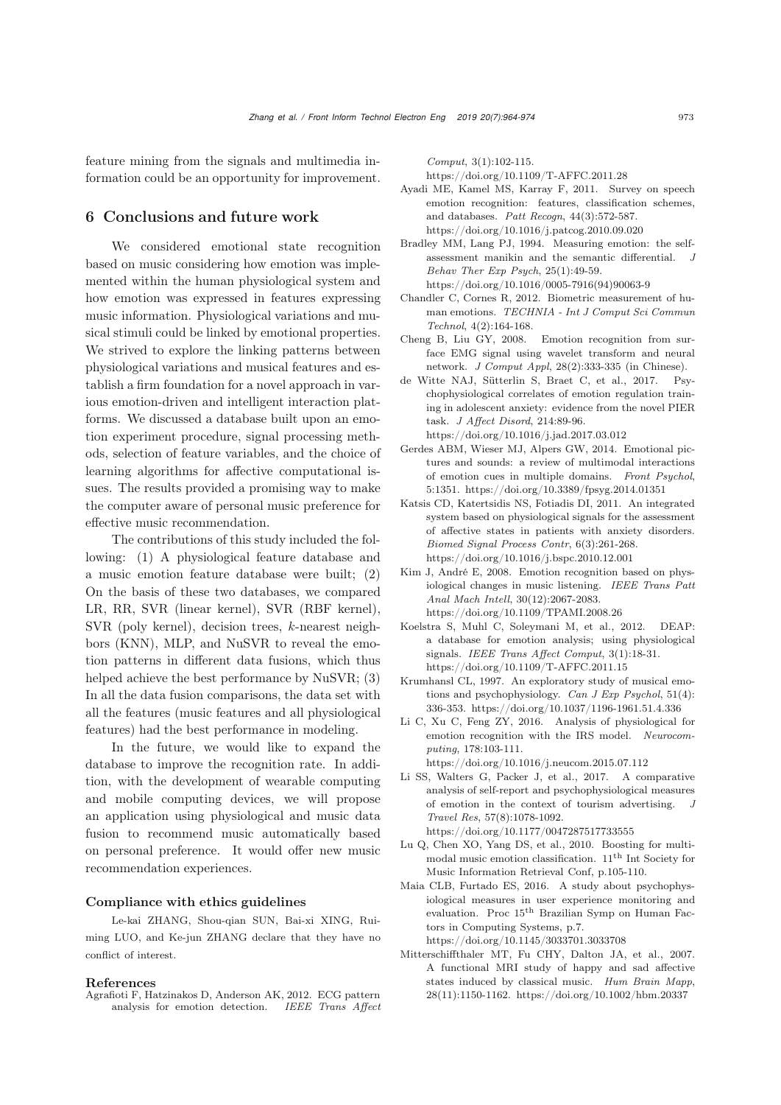feature mining from the signals and multimedia information could be an opportunity for improvement.

# 6 Conclusions and future work

We considered emotional state recognition based on music considering how emotion was implemented within the human physiological system and how emotion was expressed in features expressing music information. Physiological variations and musical stimuli could be linked by emotional properties. We strived to explore the linking patterns between physiological variations and musical features and establish a firm foundation for a novel approach in various emotion-driven and intelligent interaction platforms. We discussed a database built upon an emotion experiment procedure, signal processing methods, selection of feature variables, and the choice of learning algorithms for affective computational issues. The results provided a promising way to make the computer aware of personal music preference for effective music recommendation.

The contributions of this study included the following: (1) A physiological feature database and a music emotion feature database were built; (2) On the basis of these two databases, we compared LR, RR, SVR (linear kernel), SVR (RBF kernel), SVR (poly kernel), decision trees, k-nearest neighbors (KNN), MLP, and NuSVR to reveal the emotion patterns in different data fusions, which thus helped achieve the best performance by NuSVR; (3) In all the data fusion comparisons, the data set with all the features (music features and all physiological features) had the best performance in modeling.

In the future, we would like to expand the database to improve the recognition rate. In addition, with the development of wearable computing and mobile computing devices, we will propose an application using physiological and music data fusion to recommend music automatically based on personal preference. It would offer new music recommendation experiences.

## Compliance with ethics guidelines

Le-kai ZHANG, Shou-qian SUN, Bai-xi XING, Ruiming LUO, and Ke-jun ZHANG declare that they have no conflict of interest.

#### References

<span id="page-9-3"></span>Agrafioti F, Hatzinakos D, Anderson AK, 2012. ECG pattern analysis for emotion detection.  $\it{IEEE~Trans~After}$ analysis for emotion detection.

*Comput*, 3(1):102-115.

https://doi.org/10.1109/T-AFFC.2011.28

- <span id="page-9-10"></span>Ayadi ME, Kamel MS, Karray F, 2011. Survey on speech emotion recognition: features, classification schemes, and databases. *Patt Recogn*, 44(3):572-587. https://doi.org/10.1016/j.patcog.2010.09.020
- <span id="page-9-14"></span>Bradley MM, Lang PJ, 1994. Measuring emotion: the selfassessment manikin and the semantic differential. *Behav Ther Exp Psych*, 25(1):49-59. https://doi.org/10.1016/0005-7916(94)90063-9
- <span id="page-9-12"></span>Chandler C, Cornes R, 2012. Biometric measurement of human emotions. *TECHNIA - Int J Comput Sci Commun Technol*, 4(2):164-168.
- <span id="page-9-15"></span>Cheng B, Liu GY, 2008. Emotion recognition from surface EMG signal using wavelet transform and neural network. *J Comput Appl*, 28(2):333-335 (in Chinese).
- <span id="page-9-1"></span>de Witte NAJ, Sütterlin S, Braet C, et al., 2017. Psychophysiological correlates of emotion regulation training in adolescent anxiety: evidence from the novel PIER task. *J Affect Disord*, 214:89-96. https://doi.org/10.1016/j.jad.2017.03.012
- <span id="page-9-11"></span>Gerdes ABM, Wieser MJ, Alpers GW, 2014. Emotional pictures and sounds: a review of multimodal interactions of emotion cues in multiple domains. *Front Psychol*, 5:1351. https://doi.org/10.3389/fpsyg.2014.01351
- <span id="page-9-4"></span>Katsis CD, Katertsidis NS, Fotiadis DI, 2011. An integrated system based on physiological signals for the assessment of affective states in patients with anxiety disorders. *Biomed Signal Process Contr*, 6(3):261-268. https://doi.org/10.1016/j.bspc.2010.12.001
- <span id="page-9-2"></span>Kim J, André E, 2008. Emotion recognition based on physiological changes in music listening. *IEEE Trans Patt Anal Mach Intell*, 30(12):2067-2083. https://doi.org/10.1109/TPAMI.2008.26
- <span id="page-9-13"></span>Koelstra S, Muhl C, Soleymani M, et al., 2012. DEAP: a database for emotion analysis; using physiological signals. *IEEE Trans Affect Comput*, 3(1):18-31. https://doi.org/10.1109/T-AFFC.2011.15
- <span id="page-9-6"></span>Krumhansl CL, 1997. An exploratory study of musical emotions and psychophysiology. *Can J Exp Psychol*, 51(4): 336-353. https://doi.org/10.1037/1196-1961.51.4.336
- <span id="page-9-8"></span>Li C, Xu C, Feng ZY, 2016. Analysis of physiological for emotion recognition with the IRS model. *Neurocomputing*, 178:103-111.

https://doi.org/10.1016/j.neucom.2015.07.112

- <span id="page-9-5"></span>Li SS, Walters G, Packer J, et al., 2017. A comparative analysis of self-report and psychophysiological measures of emotion in the context of tourism advertising. *J Travel Res*, 57(8):1078-1092.
	- https://doi.org/10.1177/0047287517733555
- <span id="page-9-9"></span>Lu Q, Chen XO, Yang DS, et al., 2010. Boosting for multimodal music emotion classification. 11th Int Society for Music Information Retrieval Conf, p.105-110.
- <span id="page-9-0"></span>Maia CLB, Furtado ES, 2016. A study about psychophysiological measures in user experience monitoring and evaluation. Proc 15th Brazilian Symp on Human Factors in Computing Systems, p.7. https://doi.org/10.1145/3033701.3033708
- <span id="page-9-7"></span>Mitterschiffthaler MT, Fu CHY, Dalton JA, et al., 2007. A functional MRI study of happy and sad affective states induced by classical music. *Hum Brain Mapp*, 28(11):1150-1162. https://doi.org/10.1002/hbm.20337